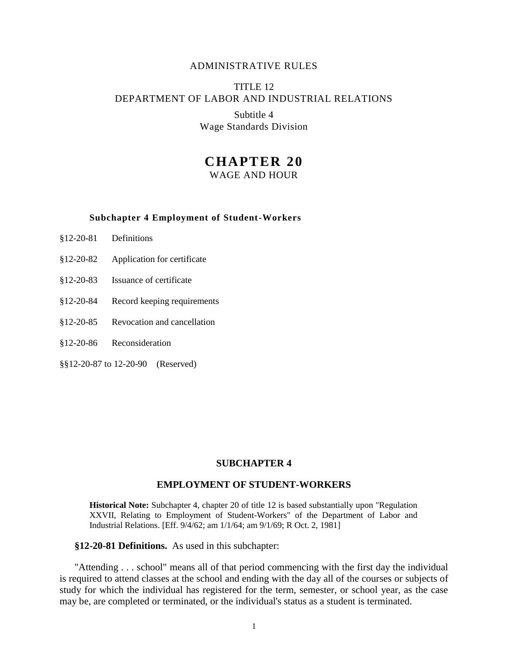### ADMINISTRATIVE RULES

# TITLE 12 DEPARTMENT OF LABOR AND INDUSTRIAL RELATIONS

Subtitle 4 Wage Standards Division

# **CHAPTER 20**

WAGE AND HOUR

#### **Subchapter 4 Employment of Student-Workers**

- §12-20-81 Definitions
- §12-20-82 Application for certificate
- §12-20-83 Issuance of certificate
- §12-20-84 Record keeping requirements
- §12-20-85 Revocation and cancellation
- §12-20-86 Reconsideration
- §§12-20-87 to 12-20-90 (Reserved)

#### **SUBCHAPTER 4**

## **EMPLOYMENT OF STUDENT-WORKERS**

**Historical Note:** Subchapter 4, chapter 20 of title 12 is based substantially upon "Regulation XXVII, Relating to Employment of Student-Workers" of the Department of Labor and Industrial Relations. [Eff. 9/4/62; am 1/1/64; am 9/1/69; R Oct. 2, 1981]

**§12-20-81 Definitions.** As used in this subchapter:

"Attending . . . school" means all of that period commencing with the first day the individual is required to attend classes at the school and ending with the day all of the courses or subjects of study for which the individual has registered for the term, semester, or school year, as the case may be, are completed or terminated, or the individual's status as a student is terminated.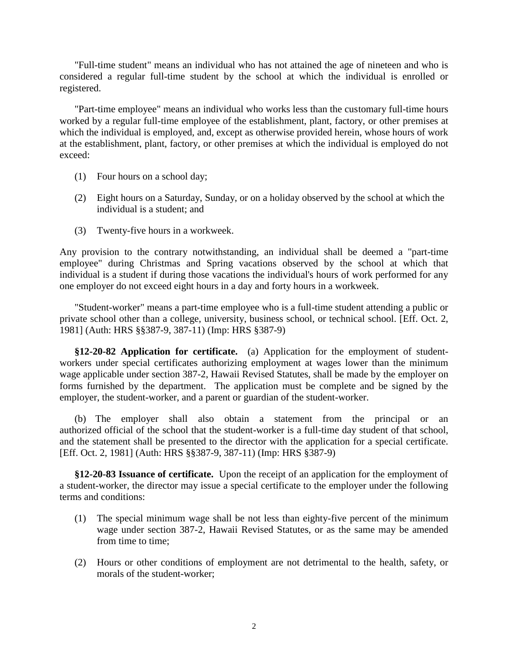"Full-time student" means an individual who has not attained the age of nineteen and who is considered a regular full-time student by the school at which the individual is enrolled or registered.

"Part-time employee" means an individual who works less than the customary full-time hours worked by a regular full-time employee of the establishment, plant, factory, or other premises at which the individual is employed, and, except as otherwise provided herein, whose hours of work at the establishment, plant, factory, or other premises at which the individual is employed do not exceed:

- (1) Four hours on a school day;
- (2) Eight hours on a Saturday, Sunday, or on a holiday observed by the school at which the individual is a student; and
- (3) Twenty-five hours in a workweek.

Any provision to the contrary notwithstanding, an individual shall be deemed a "part-time employee" during Christmas and Spring vacations observed by the school at which that individual is a student if during those vacations the individual's hours of work performed for any one employer do not exceed eight hours in a day and forty hours in a workweek.

"Student-worker" means a part-time employee who is a full-time student attending a public or private school other than a college, university, business school, or technical school. [Eff. Oct. 2, 1981] (Auth: HRS §§387-9, 387-11) (Imp: HRS §387-9)

**§12-20-82 Application for certificate.** (a) Application for the employment of studentworkers under special certificates authorizing employment at wages lower than the minimum wage applicable under section 387-2, Hawaii Revised Statutes, shall be made by the employer on forms furnished by the department. The application must be complete and be signed by the employer, the student-worker, and a parent or guardian of the student-worker.

(b) The employer shall also obtain a statement from the principal or an authorized official of the school that the student-worker is a full-time day student of that school, and the statement shall be presented to the director with the application for a special certificate. [Eff. Oct. 2, 1981] (Auth: HRS §§387-9, 387-11) (Imp: HRS §387-9)

**§12-20-83 Issuance of certificate.** Upon the receipt of an application for the employment of a student-worker, the director may issue a special certificate to the employer under the following terms and conditions:

- (1) The special minimum wage shall be not less than eighty-five percent of the minimum wage under section 387-2, Hawaii Revised Statutes, or as the same may be amended from time to time;
- (2) Hours or other conditions of employment are not detrimental to the health, safety, or morals of the student-worker;